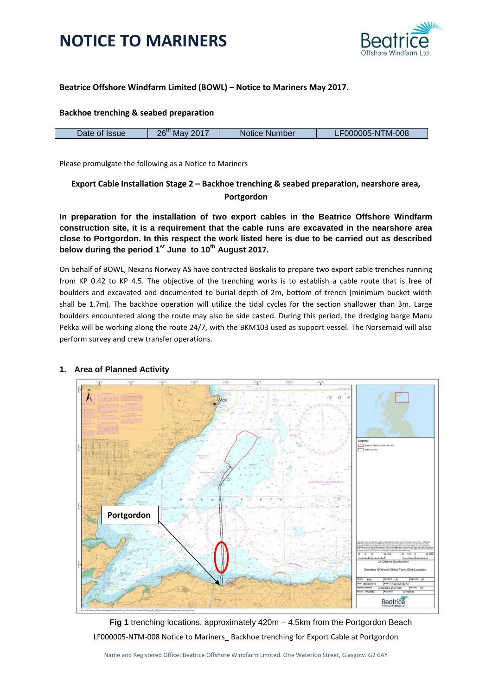



## **Beatrice Offshore Windfarm Limited (BOWL) – Notice to Mariners May 2017.**

#### **Backhoe trenching & seabed preparation**

|  | Date of<br><b>Issue</b> | 2017<br>26<br>Mav | Notice Number | LF000005-NTM-008 |
|--|-------------------------|-------------------|---------------|------------------|
|--|-------------------------|-------------------|---------------|------------------|

Please promulgate the following as a Notice to Mariners

## **Export Cable Installation Stage 2 – Backhoe trenching & seabed preparation, nearshore area, Portgordon**

**In preparation for the installation of two export cables in the Beatrice Offshore Windfarm construction site, it is a requirement that the cable runs are excavated in the nearshore area close to Portgordon. In this respect the work listed here is due to be carried out as described below during the period 1st June to 10th August 2017.**

On behalf of BOWL, Nexans Norway AS have contracted Boskalis to prepare two export cable trenches running from KP 0.42 to KP 4.5. The objective of the trenching works is to establish a cable route that is free of boulders and excavated and documented to burial depth of 2m, bottom of trench (minimum bucket width shall be 1.7m). The backhoe operation will utilize the tidal cycles for the section shallower than 3m. Large boulders encountered along the route may also be side casted. During this period, the dredging barge Manu Pekka will be working along the route 24/7, with the BKM103 used as support vessel. The Norsemaid will also perform survey and crew transfer operations.



## **1. Area of Planned Activity**

LF000005-NTM-008 Notice to Mariners\_ Backhoe trenching for Export Cable at Portgordon **Fig 1** trenching locations, approximately 420m – 4.5km from the Portgordon Beach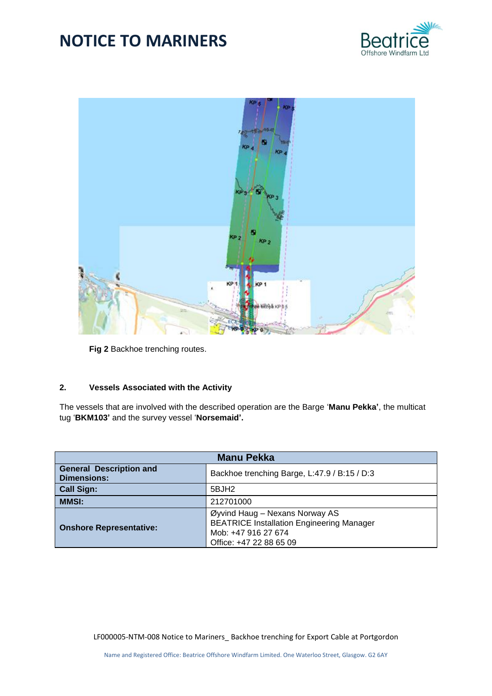



**Fig 2** Backhoe trenching routes.

## **2. Vessels Associated with the Activity**

The vessels that are involved with the described operation are the Barge '**Manu Pekka'**, the multicat tug '**BKM103'** and the survey vessel '**Norsemaid'.**

| <b>Manu Pekka</b>                                    |                                                                                                                                      |  |  |  |
|------------------------------------------------------|--------------------------------------------------------------------------------------------------------------------------------------|--|--|--|
| <b>General Description and</b><br><b>Dimensions:</b> | Backhoe trenching Barge, L:47.9 / B:15 / D:3                                                                                         |  |  |  |
| <b>Call Sign:</b>                                    | 5BJH2                                                                                                                                |  |  |  |
| <b>MMSI:</b>                                         | 212701000                                                                                                                            |  |  |  |
| <b>Onshore Representative:</b>                       | Øyvind Haug - Nexans Norway AS<br><b>BEATRICE Installation Engineering Manager</b><br>Mob: +47 916 27 674<br>Office: +47 22 88 65 09 |  |  |  |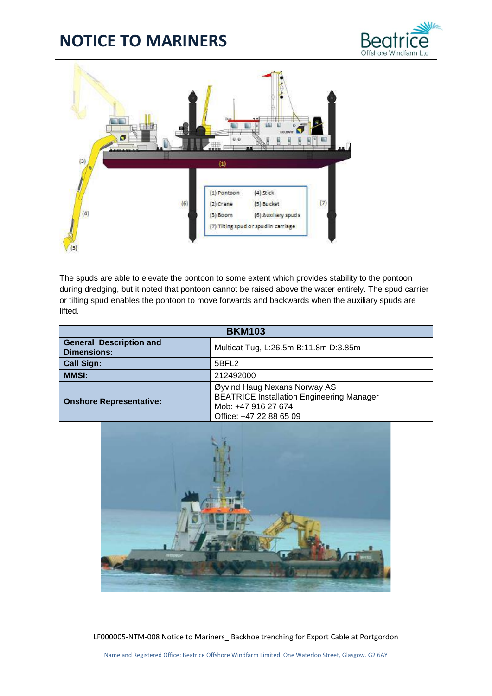



The spuds are able to elevate the pontoon to some extent which provides stability to the pontoon during dredging, but it noted that pontoon cannot be raised above the water entirely. The spud carrier or tilting spud enables the pontoon to move forwards and backwards when the auxiliary spuds are lifted.

| <b>BKM103</b>                                        |                                                                                                                                    |  |  |  |
|------------------------------------------------------|------------------------------------------------------------------------------------------------------------------------------------|--|--|--|
| <b>General Description and</b><br><b>Dimensions:</b> | Multicat Tug, L:26.5m B:11.8m D:3.85m                                                                                              |  |  |  |
| <b>Call Sign:</b>                                    | 5BFL2                                                                                                                              |  |  |  |
| <b>MMSI:</b>                                         | 212492000                                                                                                                          |  |  |  |
| <b>Onshore Representative:</b>                       | Øyvind Haug Nexans Norway AS<br><b>BEATRICE Installation Engineering Manager</b><br>Mob: +47 916 27 674<br>Office: +47 22 88 65 09 |  |  |  |
|                                                      |                                                                                                                                    |  |  |  |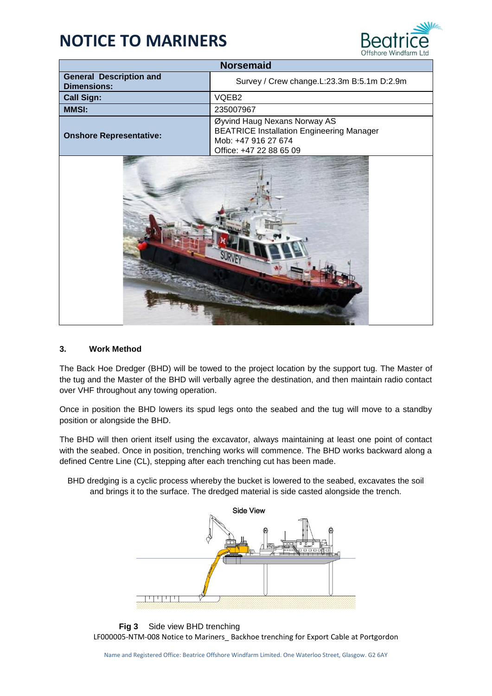

| <b>Norsemaid</b>                                     |                                                                                                                                    |  |  |  |
|------------------------------------------------------|------------------------------------------------------------------------------------------------------------------------------------|--|--|--|
| <b>General Description and</b><br><b>Dimensions:</b> | Survey / Crew change.L:23.3m B:5.1m D:2.9m                                                                                         |  |  |  |
| <b>Call Sign:</b>                                    | VQEB2                                                                                                                              |  |  |  |
| <b>MMSI:</b>                                         | 235007967                                                                                                                          |  |  |  |
| <b>Onshore Representative:</b>                       | Øyvind Haug Nexans Norway AS<br><b>BEATRICE Installation Engineering Manager</b><br>Mob: +47 916 27 674<br>Office: +47 22 88 65 09 |  |  |  |
|                                                      |                                                                                                                                    |  |  |  |

## **3. Work Method**

The Back Hoe Dredger (BHD) will be towed to the project location by the support tug. The Master of the tug and the Master of the BHD will verbally agree the destination, and then maintain radio contact over VHF throughout any towing operation.

Once in position the BHD lowers its spud legs onto the seabed and the tug will move to a standby position or alongside the BHD.

The BHD will then orient itself using the excavator, always maintaining at least one point of contact with the seabed. Once in position, trenching works will commence. The BHD works backward along a defined Centre Line (CL), stepping after each trenching cut has been made.

BHD dredging is a cyclic process whereby the bucket is lowered to the seabed, excavates the soil and brings it to the surface. The dredged material is side casted alongside the trench.



LF000005-NTM-008 Notice to Mariners\_ Backhoe trenching for Export Cable at Portgordon **Fig 3** Side view BHD trenching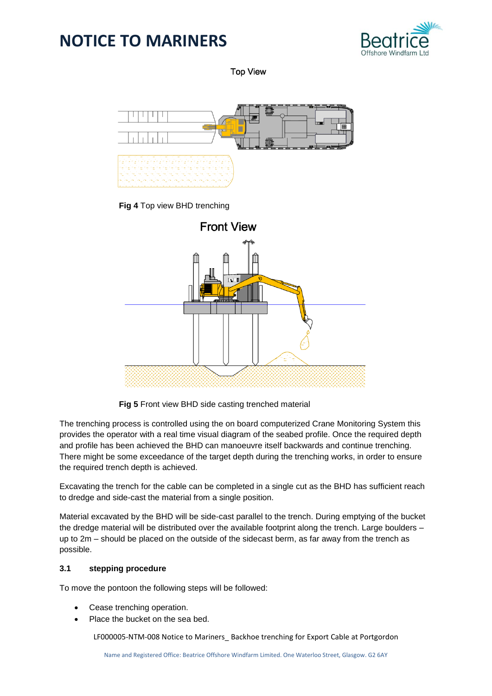

**Top View** 



**Fig 4** Top view BHD trenching



**Fig 5** Front view BHD side casting trenched material

The trenching process is controlled using the on board computerized Crane Monitoring System this provides the operator with a real time visual diagram of the seabed profile. Once the required depth and profile has been achieved the BHD can manoeuvre itself backwards and continue trenching. There might be some exceedance of the target depth during the trenching works, in order to ensure the required trench depth is achieved.

Excavating the trench for the cable can be completed in a single cut as the BHD has sufficient reach to dredge and side-cast the material from a single position.

Material excavated by the BHD will be side-cast parallel to the trench. During emptying of the bucket the dredge material will be distributed over the available footprint along the trench. Large boulders – up to 2m – should be placed on the outside of the sidecast berm, as far away from the trench as possible.

## **3.1 stepping procedure**

To move the pontoon the following steps will be followed:

- Cease trenching operation.
- Place the bucket on the sea bed.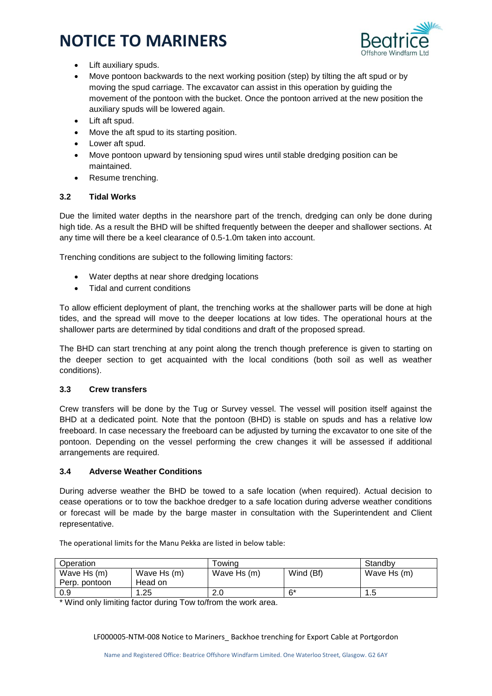

- Lift auxiliary spuds.
- Move pontoon backwards to the next working position (step) by tilting the aft spud or by moving the spud carriage. The excavator can assist in this operation by guiding the movement of the pontoon with the bucket. Once the pontoon arrived at the new position the auxiliary spuds will be lowered again.
- Lift aft spud.
- Move the aft spud to its starting position.
- Lower aft spud.
- Move pontoon upward by tensioning spud wires until stable dredging position can be maintained.
- Resume trenching.

## **3.2 Tidal Works**

Due the limited water depths in the nearshore part of the trench, dredging can only be done during high tide. As a result the BHD will be shifted frequently between the deeper and shallower sections. At any time will there be a keel clearance of 0.5-1.0m taken into account.

Trenching conditions are subject to the following limiting factors:

- Water depths at near shore dredging locations
- Tidal and current conditions

To allow efficient deployment of plant, the trenching works at the shallower parts will be done at high tides, and the spread will move to the deeper locations at low tides. The operational hours at the shallower parts are determined by tidal conditions and draft of the proposed spread.

The BHD can start trenching at any point along the trench though preference is given to starting on the deeper section to get acquainted with the local conditions (both soil as well as weather conditions).

## **3.3 Crew transfers**

Crew transfers will be done by the Tug or Survey vessel. The vessel will position itself against the BHD at a dedicated point. Note that the pontoon (BHD) is stable on spuds and has a relative low freeboard. In case necessary the freeboard can be adjusted by turning the excavator to one site of the pontoon. Depending on the vessel performing the crew changes it will be assessed if additional arrangements are required.

## **3.4 Adverse Weather Conditions**

During adverse weather the BHD be towed to a safe location (when required). Actual decision to cease operations or to tow the backhoe dredger to a safe location during adverse weather conditions or forecast will be made by the barge master in consultation with the Superintendent and Client representative.

| Operation                    |                        | Towina      |           | Standby     |
|------------------------------|------------------------|-------------|-----------|-------------|
| Wave Hs (m)<br>Perp. pontoon | Wave Hs (m)<br>Head on | Wave Hs (m) | Wind (Bf) | Wave Hs (m) |
| 0.9                          | .25                    | 2.0         | 6*        | . .5        |

The operational limits for the Manu Pekka are listed in below table:

\* Wind only limiting factor during Tow to/from the work area.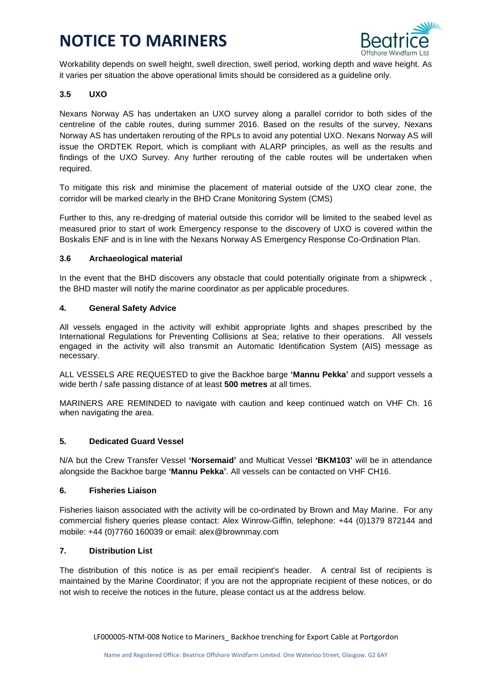

Workability depends on swell height, swell direction, swell period, working depth and wave height. As it varies per situation the above operational limits should be considered as a guideline only.

## **3.5 UXO**

Nexans Norway AS has undertaken an UXO survey along a parallel corridor to both sides of the centreline of the cable routes, during summer 2016. Based on the results of the survey, Nexans Norway AS has undertaken rerouting of the RPLs to avoid any potential UXO. Nexans Norway AS will issue the ORDTEK Report, which is compliant with ALARP principles, as well as the results and findings of the UXO Survey. Any further rerouting of the cable routes will be undertaken when required.

To mitigate this risk and minimise the placement of material outside of the UXO clear zone, the corridor will be marked clearly in the BHD Crane Monitoring System (CMS)

Further to this, any re-dredging of material outside this corridor will be limited to the seabed level as measured prior to start of work Emergency response to the discovery of UXO is covered within the Boskalis ENF and is in line with the Nexans Norway AS Emergency Response Co-Ordination Plan.

## **3.6 Archaeological material**

In the event that the BHD discovers any obstacle that could potentially originate from a shipwreck , the BHD master will notify the marine coordinator as per applicable procedures.

#### **4. General Safety Advice**

All vessels engaged in the activity will exhibit appropriate lights and shapes prescribed by the International Regulations for Preventing Collisions at Sea; relative to their operations. All vessels engaged in the activity will also transmit an Automatic Identification System (AIS) message as necessary.

ALL VESSELS ARE REQUESTED to give the Backhoe barge **'Mannu Pekka'** and support vessels a wide berth / safe passing distance of at least **500 metres** at all times.

MARINERS ARE REMINDED to navigate with caution and keep continued watch on VHF Ch. 16 when navigating the area.

## **5. Dedicated Guard Vessel**

N/A but the Crew Transfer Vessel **'Norsemaid'** and Multicat Vessel **'BKM103'** will be in attendance alongside the Backhoe barge **'Mannu Pekka'**. All vessels can be contacted on VHF CH16.

#### **6. Fisheries Liaison**

Fisheries liaison associated with the activity will be co-ordinated by Brown and May Marine. For any commercial fishery queries please contact: Alex Winrow-Giffin, telephone: +44 (0)1379 872144 and mobile: +44 (0)7760 160039 or email: alex@brownmay.com

## **7. Distribution List**

The distribution of this notice is as per email recipient's header. A central list of recipients is maintained by the Marine Coordinator; if you are not the appropriate recipient of these notices, or do not wish to receive the notices in the future, please contact us at the address below.